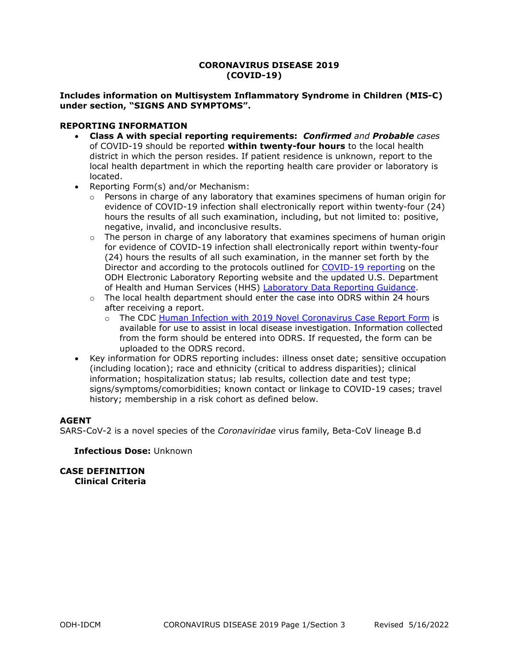# **CORONAVIRUS DISEASE 2019 (COVID-19)**

# **Includes information on Multisystem Inflammatory Syndrome in Children (MIS-C) under section, "SIGNS AND SYMPTOMS".**

# **REPORTING INFORMATION**

- **Class A with special reporting requirements:** *Confirmed and Probable cases* of COVID-19 should be reported **within twenty-four hours** to the local health district in which the person resides. If patient residence is unknown, report to the local health department in which the reporting health care provider or laboratory is located.
- Reporting Form(s) and/or Mechanism:
	- o Persons in charge of any laboratory that examines specimens of human origin for evidence of COVID-19 infection shall electronically report within twenty-four (24) hours the results of all such examination, including, but not limited to: positive, negative, invalid, and inconclusive results.
	- $\circ$  The person in charge of any laboratory that examines specimens of human origin for evidence of COVID-19 infection shall electronically report within twenty-four (24) hours the results of all such examination, in the manner set forth by the Director and according to the protocols outlined for [COVID-19 reporting](https://odh.ohio.gov/know-our-programs/electronic-laboratory-reporting/COVID-19-Reporting/COVID-19-Reporting) on the ODH Electronic Laboratory Reporting website and the updated U.S. Department of Health and Human Services (HHS) [Laboratory Data Reporting Guidance.](https://www.cdc.gov/coronavirus/2019-ncov/downloads/lab/HHS-Laboratory-Reporting-Guidance-508.pdf?ACSTrackingID=FCP_1_USCDC_2146-DM77640&ACSTrackingLabel=%5BProof%201%5D%20Lab%20Advisory%3A%20HHS%20Updates%20COVID-19%20Laboratory%20Reporting%20Guidance&deliveryName=FCP_1_USCDC_2146-DM77640)
	- o The local health department should enter the case into ODRS within 24 hours after receiving a report.
		- o The CDC [Human Infection with 2019 Novel Coronavirus Case Report Form](https://odh.ohio.gov/wps/portal/gov/odh/know-our-programs/infectious-disease-control-manual/forms/form-2019-ncov) is available for use to assist in local disease investigation. Information collected from the form should be entered into ODRS. If requested, the form can be uploaded to the ODRS record.
- Key information for ODRS reporting includes: illness onset date; sensitive occupation (including location); race and ethnicity (critical to address disparities); clinical information; hospitalization status; lab results, collection date and test type; signs/symptoms/comorbidities; known contact or linkage to COVID-19 cases; travel history; membership in a risk cohort as defined below.

# **AGENT**

SARS-CoV-2 is a novel species of the *Coronaviridae* virus family, Beta-CoV lineage B.d

**Infectious Dose:** Unknown

**CASE DEFINITION Clinical Criteria**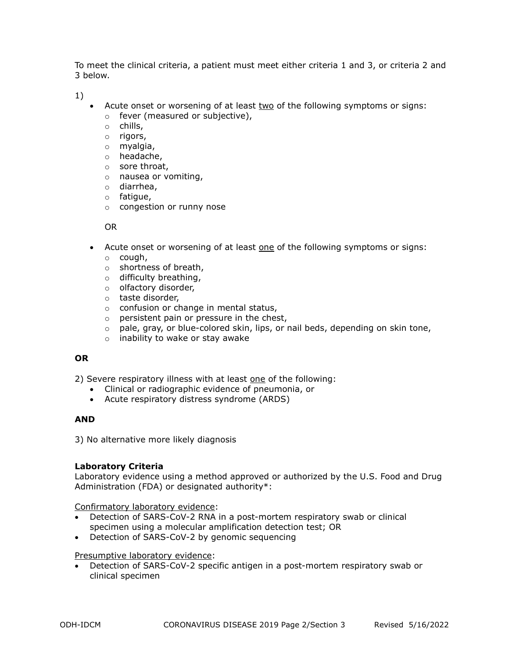To meet the clinical criteria, a patient must meet either criteria 1 and 3, or criteria 2 and 3 below.

1)

- Acute onset or worsening of at least two of the following symptoms or signs:
	- o fever (measured or subjective),
	- o chills,
	- o rigors,
	- o myalgia,
	- o headache,
	- o sore throat,
	- o nausea or vomiting,
	- o diarrhea,
	- o fatigue,
	- o congestion or runny nose

OR

- Acute onset or worsening of at least one of the following symptoms or signs:
	- o cough,
	- o shortness of breath,
	- o difficulty breathing,
	- o olfactory disorder,
	- o taste disorder,
	- o confusion or change in mental status,
	- $\circ$  persistent pain or pressure in the chest,
	- $\circ$  pale, gray, or blue-colored skin, lips, or nail beds, depending on skin tone,
	- o inability to wake or stay awake

# **OR**

2) Severe respiratory illness with at least one of the following:

- Clinical or radiographic evidence of pneumonia, or
- Acute respiratory distress syndrome (ARDS)

# **AND**

3) No alternative more likely diagnosis

# **Laboratory Criteria**

Laboratory evidence using a method approved or authorized by the U.S. Food and Drug Administration (FDA) or designated authority\*:

Confirmatory laboratory evidence:

- Detection of SARS-CoV-2 RNA in a post-mortem respiratory swab or clinical specimen using a molecular amplification detection test; OR
- Detection of SARS-CoV-2 by genomic sequencing

# Presumptive laboratory evidence:

• Detection of SARS-CoV-2 specific antigen in a post-mortem respiratory swab or clinical specimen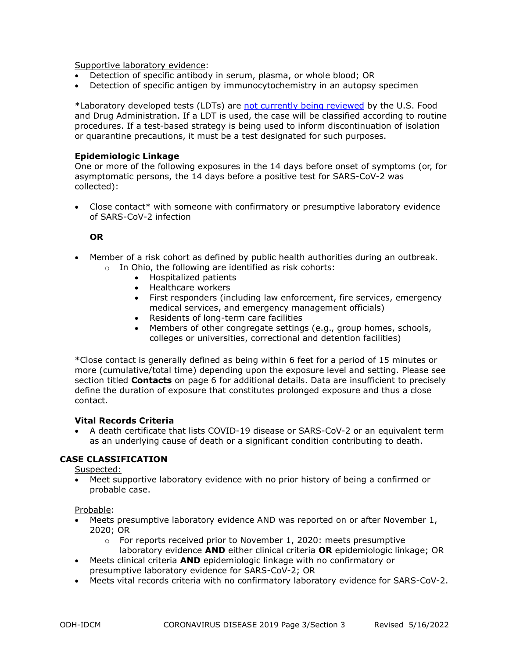Supportive laboratory evidence:

- Detection of specific antibody in serum, plasma, or whole blood; OR
- Detection of specific antigen by immunocytochemistry in an autopsy specimen

\*Laboratory developed tests (LDTs) are [not currently being reviewed](https://www.hhs.gov/coronavirus/testing/recission-guidances-informal-issuances-premarket-review-lab-tests/index.html) by the U.S. Food and Drug Administration. If a LDT is used, the case will be classified according to routine procedures. If a test-based strategy is being used to inform discontinuation of isolation or quarantine precautions, it must be a test designated for such purposes.

# **Epidemiologic Linkage**

One or more of the following exposures in the 14 days before onset of symptoms (or, for asymptomatic persons, the 14 days before a positive test for SARS-CoV-2 was collected):

• Close contact\* with someone with confirmatory or presumptive laboratory evidence of SARS-CoV-2 infection

#### **OR**

- Member of a risk cohort as defined by public health authorities during an outbreak.
	- o In Ohio, the following are identified as risk cohorts:
		- Hospitalized patients
		- Healthcare workers
		- First responders (including law enforcement, fire services, emergency medical services, and emergency management officials)
		- Residents of long-term care facilities
		- Members of other congregate settings (e.g., group homes, schools, colleges or universities, correctional and detention facilities)

\*Close contact is generally defined as being within 6 feet for a period of 15 minutes or more (cumulative/total time) depending upon the exposure level and setting. Please see section titled **Contacts** on page 6 for additional details. Data are insufficient to precisely define the duration of exposure that constitutes prolonged exposure and thus a close contact.

# **Vital Records Criteria**

• A death certificate that lists COVID-19 disease or SARS-CoV-2 or an equivalent term as an underlying cause of death or a significant condition contributing to death.

# **CASE CLASSIFICATION**

Suspected:

• Meet supportive laboratory evidence with no prior history of being a confirmed or probable case.

Probable:

- Meets presumptive laboratory evidence AND was reported on or after November 1, 2020; OR
	- o For reports received prior to November 1, 2020: meets presumptive laboratory evidence **AND** either clinical criteria **OR** epidemiologic linkage; OR
- Meets clinical criteria **AND** epidemiologic linkage with no confirmatory or presumptive laboratory evidence for SARS-CoV-2; OR
- Meets vital records criteria with no confirmatory laboratory evidence for SARS-CoV-2.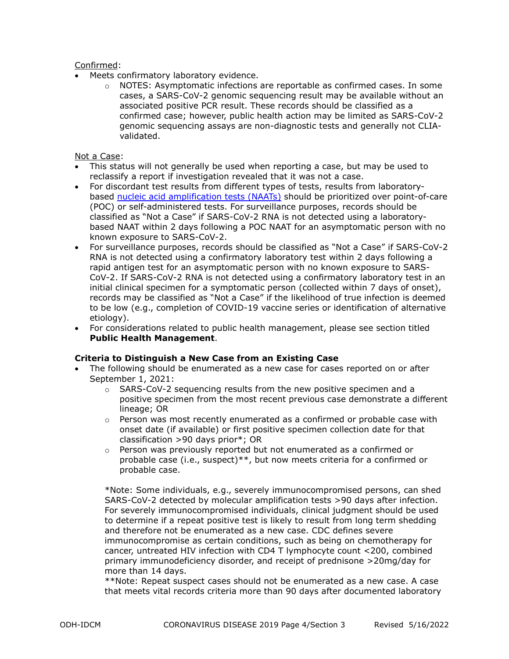# Confirmed:

- Meets confirmatory laboratory evidence.
	- $\circ$  NOTES: Asymptomatic infections are reportable as confirmed cases. In some cases, a SARS-CoV-2 genomic sequencing result may be available without an associated positive PCR result. These records should be classified as a confirmed case; however, public health action may be limited as SARS-CoV-2 genomic sequencing assays are non-diagnostic tests and generally not CLIAvalidated.

# Not a Case:

- This status will not generally be used when reporting a case, but may be used to reclassify a report if investigation revealed that it was not a case.
- For discordant test results from different types of tests, results from laboratorybased [nucleic acid amplification tests \(NAATs\)](https://www.cdc.gov/coronavirus/2019-ncov/lab/naats.html) should be prioritized over point-of-care (POC) or self-administered tests. For surveillance purposes, records should be classified as "Not a Case" if SARS-CoV-2 RNA is not detected using a laboratorybased NAAT within 2 days following a POC NAAT for an asymptomatic person with no known exposure to SARS-CoV-2.
- For surveillance purposes, records should be classified as "Not a Case" if SARS-CoV-2 RNA is not detected using a confirmatory laboratory test within 2 days following a rapid antigen test for an asymptomatic person with no known exposure to SARS-CoV-2. If SARS-CoV-2 RNA is not detected using a confirmatory laboratory test in an initial clinical specimen for a symptomatic person (collected within 7 days of onset), records may be classified as "Not a Case" if the likelihood of true infection is deemed to be low (e.g., completion of COVID-19 vaccine series or identification of alternative etiology).
- For considerations related to public health management, please see section titled **Public Health Management**.

# **Criteria to Distinguish a New Case from an Existing Case**

- The following should be enumerated as a new case for cases reported on or after September 1, 2021:
	- o SARS-CoV-2 sequencing results from the new positive specimen and a positive specimen from the most recent previous case demonstrate a different lineage; OR
	- $\circ$  Person was most recently enumerated as a confirmed or probable case with onset date (if available) or first positive specimen collection date for that classification >90 days prior\*; OR
	- o Person was previously reported but not enumerated as a confirmed or probable case (i.e., suspect)\*\*, but now meets criteria for a confirmed or probable case.

\*Note: Some individuals, e.g., severely immunocompromised persons, can shed SARS-CoV-2 detected by molecular amplification tests >90 days after infection. For severely immunocompromised individuals, clinical judgment should be used to determine if a repeat positive test is likely to result from long term shedding and therefore not be enumerated as a new case. CDC defines severe immunocompromise as certain conditions, such as being on chemotherapy for cancer, untreated HIV infection with CD4 T lymphocyte count <200, combined primary immunodeficiency disorder, and receipt of prednisone >20mg/day for more than 14 days.

\*\*Note: Repeat suspect cases should not be enumerated as a new case. A case that meets vital records criteria more than 90 days after documented laboratory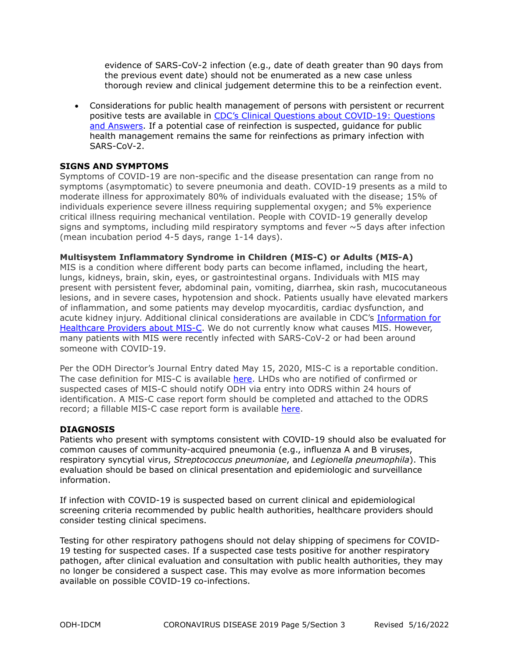evidence of SARS-CoV-2 infection (e.g., date of death greater than 90 days from the previous event date) should not be enumerated as a new case unless thorough review and clinical judgement determine this to be a reinfection event.

• Considerations for public health management of persons with persistent or recurrent positive tests are available in [CDC's Clinical Questions about COVID-19: Questions](https://www.cdc.gov/coronavirus/2019-ncov/hcp/faq.html)  [and Answers.](https://www.cdc.gov/coronavirus/2019-ncov/hcp/faq.html) If a potential case of reinfection is suspected, guidance for public health management remains the same for reinfections as primary infection with SARS-CoV-2.

# **SIGNS AND SYMPTOMS**

Symptoms of COVID-19 are non-specific and the disease presentation can range from no symptoms (asymptomatic) to severe pneumonia and death. COVID-19 presents as a mild to moderate illness for approximately 80% of individuals evaluated with the disease; 15% of individuals experience severe illness requiring supplemental oxygen; and 5% experience critical illness requiring mechanical ventilation. People with COVID-19 generally develop signs and symptoms, including mild respiratory symptoms and fever  $\sim$  5 days after infection (mean incubation period 4-5 days, range 1-14 days).

# **Multisystem Inflammatory Syndrome in Children (MIS-C) or Adults (MIS-A)**

MIS is a condition where different body parts can become inflamed, including the heart, lungs, kidneys, brain, skin, eyes, or gastrointestinal organs. Individuals with MIS may present with persistent fever, abdominal pain, vomiting, diarrhea, skin rash, mucocutaneous lesions, and in severe cases, hypotension and shock. Patients usually have elevated markers of inflammation, and some patients may develop myocarditis, cardiac dysfunction, and acute kidney injury. Additional clinical considerations are available in CDC's [Information for](https://www.cdc.gov/mis-c/hcp/)  [Healthcare Providers about MIS-C.](https://www.cdc.gov/mis-c/hcp/) We do not currently know what causes MIS. However, many patients with MIS were recently infected with SARS-CoV-2 or had been around someone with COVID-19.

Per the ODH Director's Journal Entry dated May 15, 2020, MIS-C is a reportable condition. The case definition for MIS-C is available [here.](https://www.cdc.gov/mis-c/hcp/) LHDs who are notified of confirmed or suspected cases of MIS-C should notify ODH via entry into ODRS within 24 hours of identification. A MIS-C case report form should be completed and attached to the ODRS record; a fillable MIS-C case report form is available [here.](https://www.cdc.gov/mis/pdfs/hcp/mis-c-form-fillable.pdf)

#### **DIAGNOSIS**

Patients who present with symptoms consistent with COVID-19 should also be evaluated for common causes of community-acquired pneumonia (e.g., influenza A and B viruses, respiratory syncytial virus, *Streptococcus pneumoniae*, and *Legionella pneumophila*). This evaluation should be based on clinical presentation and epidemiologic and surveillance information.

If infection with COVID-19 is suspected based on current clinical and epidemiological screening criteria recommended by public health authorities, healthcare providers should consider testing clinical specimens.

Testing for other respiratory pathogens should not delay shipping of specimens for COVID-19 testing for suspected cases. If a suspected case tests positive for another respiratory pathogen, after clinical evaluation and consultation with public health authorities, they may no longer be considered a suspect case. This may evolve as more information becomes available on possible COVID-19 co-infections.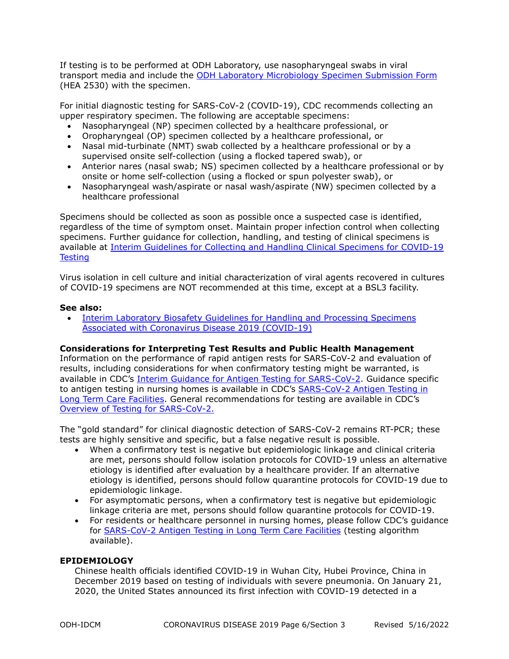If testing is to be performed at ODH Laboratory, use nasopharyngeal swabs in viral transport media and include the [ODH Laboratory Microbiology Specimen Submission Form](https://odh.ohio.gov/wps/portal/gov/odh/know-our-programs/microbiology/forms/hea-2530) (HEA 2530) with the specimen.

For initial diagnostic testing for SARS-CoV-2 (COVID-19), CDC recommends collecting an upper respiratory specimen. The following are acceptable specimens:

- Nasopharyngeal (NP) specimen collected by a healthcare professional, or
- Oropharyngeal (OP) specimen collected by a healthcare professional, or
- Nasal mid-turbinate (NMT) swab collected by a healthcare professional or by a supervised onsite self-collection (using a flocked tapered swab), or
- Anterior nares (nasal swab; NS) specimen collected by a healthcare professional or by onsite or home self-collection (using a flocked or spun polyester swab), or
- Nasopharyngeal wash/aspirate or nasal wash/aspirate (NW) specimen collected by a healthcare professional

Specimens should be collected as soon as possible once a suspected case is identified, regardless of the time of symptom onset. Maintain proper infection control when collecting specimens. Further guidance for collection, handling, and testing of clinical specimens is available at [Interim Guidelines for Collecting and Handling Clinical Specimens for COVID-19](https://www.cdc.gov/coronavirus/2019-ncov/lab/guidelines-clinical-specimens.html?CDC_AA_refVal=https%3A%2F%2Fwww.cdc.gov%2Fcoronavirus%2F2019-ncov%2Fguidelines-clinical-specimens.html)  **[Testing](https://www.cdc.gov/coronavirus/2019-ncov/lab/guidelines-clinical-specimens.html?CDC_AA_refVal=https%3A%2F%2Fwww.cdc.gov%2Fcoronavirus%2F2019-ncov%2Fguidelines-clinical-specimens.html)** 

Virus isolation in cell culture and initial characterization of viral agents recovered in cultures of COVID-19 specimens are NOT recommended at this time, except at a BSL3 facility.

# **See also:**

• Interim Laboratory Biosafety Guidelines for Handling and Processing Specimens [Associated with Coronavirus Disease 2019 \(COVID-19\)](https://www.cdc.gov/coronavirus/2019-ncov/lab/lab-biosafety-guidelines.html)

# **Considerations for Interpreting Test Results and Public Health Management**

Information on the performance of rapid antigen rests for SARS-CoV-2 and evaluation of results, including considerations for when confirmatory testing might be warranted, is available in CDC's [Interim Guidance for Antigen Testing for SARS-CoV-2.](https://www.cdc.gov/coronavirus/2019-ncov/lab/resources/antigen-tests-guidelines.html) Guidance specific to antigen testing in nursing homes is available in CDC's [SARS-CoV-2 Antigen Testing in](https://www.cdc.gov/coronavirus/2019-ncov/hcp/nursing-homes-antigen-testing.html)  [Long Term Care Facilities.](https://www.cdc.gov/coronavirus/2019-ncov/hcp/nursing-homes-antigen-testing.html) General recommendations for testing are available in CDC's [Overview of Testing for SARS-CoV-2.](https://www.cdc.gov/coronavirus/2019-ncov/hcp/testing-overview.html) 

The "gold standard" for clinical diagnostic detection of SARS-CoV-2 remains RT-PCR; these tests are highly sensitive and specific, but a false negative result is possible.

- When a confirmatory test is negative but epidemiologic linkage and clinical criteria are met, persons should follow isolation protocols for COVID-19 unless an alternative etiology is identified after evaluation by a healthcare provider. If an alternative etiology is identified, persons should follow quarantine protocols for COVID-19 due to epidemiologic linkage.
- For asymptomatic persons, when a confirmatory test is negative but epidemiologic linkage criteria are met, persons should follow quarantine protocols for COVID-19.
- For residents or healthcare personnel in nursing homes, please follow CDC's guidance for **[SARS-CoV-2 Antigen Testing in Long Term Care Facilities](https://www.cdc.gov/coronavirus/2019-ncov/hcp/nursing-homes-antigen-testing.html)** (testing algorithm available).

# **EPIDEMIOLOGY**

Chinese health officials identified COVID-19 in Wuhan City, Hubei Province, China in December 2019 based on testing of individuals with severe pneumonia. On January 21, 2020, the United States announced its first infection with COVID-19 detected in a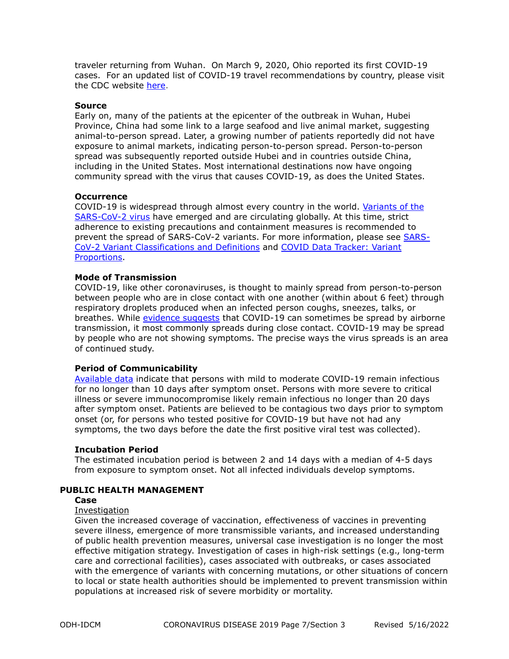traveler returning from Wuhan. On March 9, 2020, Ohio reported its first COVID-19 cases. For an updated list of COVID-19 travel recommendations by country, please visit the CDC website [here.](https://www.cdc.gov/coronavirus/2019-ncov/travelers/map-and-travel-notices.html)

#### **Source**

Early on, many of the patients at the epicenter of the outbreak in Wuhan, Hubei Province, China had some link to a large seafood and live animal market, suggesting animal-to-person spread. Later, a growing number of patients reportedly did not have exposure to animal markets, indicating person-to-person spread. Person-to-person spread was subsequently reported outside Hubei and in countries outside China, including in the United States. Most international destinations now have ongoing community spread with the virus that causes COVID-19, as does the United States.

#### **Occurrence**

COVID-19 is widespread through almost every country in the world. [Variants of the](https://www.cdc.gov/coronavirus/2019-ncov/cases-updates/variant-surveillance/variant-info.html)  [SARS-CoV-2 virus](https://www.cdc.gov/coronavirus/2019-ncov/cases-updates/variant-surveillance/variant-info.html) have emerged and are circulating globally. At this time, strict adherence to existing precautions and containment measures is recommended to prevent the spread of SARS-CoV-2 variants. For more information, please see [SARS-](https://www.cdc.gov/coronavirus/2019-ncov/cases-updates/variant-surveillance/variant-info.html)[CoV-2 Variant Classifications and Definitions](https://www.cdc.gov/coronavirus/2019-ncov/cases-updates/variant-surveillance/variant-info.html) and [COVID Data Tracker: Variant](https://covid.cdc.gov/covid-data-tracker/#variant-proportions)  [Proportions.](https://covid.cdc.gov/covid-data-tracker/#variant-proportions)

#### **Mode of Transmission**

COVID-19, like other coronaviruses, is thought to mainly spread from person-to-person between people who are in close contact with one another (within about 6 feet) through respiratory droplets produced when an infected person coughs, sneezes, talks, or breathes. While [evidence suggests](https://www.cdc.gov/coronavirus/2019-ncov/science/science-briefs/sars-cov-2-transmission.html?CDC_AA_refVal=https%3A%2F%2Fwww.cdc.gov%2Fcoronavirus%2F2019-ncov%2Fscience%2Fscience-briefs%2Fscientific-brief-sars-cov-2.html) that COVID-19 can sometimes be spread by airborne transmission, it most commonly spreads during close contact. COVID-19 may be spread by people who are not showing symptoms. The precise ways the virus spreads is an area of continued study.

# **Period of Communicability**

[Available data](https://www.cdc.gov/coronavirus/2019-ncov/hcp/duration-isolation.html) indicate that persons with mild to moderate COVID-19 remain infectious for no longer than 10 days after symptom onset. Persons with more severe to critical illness or severe immunocompromise likely remain infectious no longer than 20 days after symptom onset. Patients are believed to be contagious two days prior to symptom onset (or, for persons who tested positive for COVID-19 but have not had any symptoms, the two days before the date the first positive viral test was collected).

#### **Incubation Period**

The estimated incubation period is between 2 and 14 days with a median of 4-5 days from exposure to symptom onset. Not all infected individuals develop symptoms.

#### **PUBLIC HEALTH MANAGEMENT**

# **Case**

#### Investigation

Given the increased coverage of vaccination, effectiveness of vaccines in preventing severe illness, emergence of more transmissible variants, and increased understanding of public health prevention measures, universal case investigation is no longer the most effective mitigation strategy. Investigation of cases in high-risk settings (e.g., long-term care and correctional facilities), cases associated with outbreaks, or cases associated with the emergence of variants with concerning mutations, or other situations of concern to local or state health authorities should be implemented to prevent transmission within populations at increased risk of severe morbidity or mortality.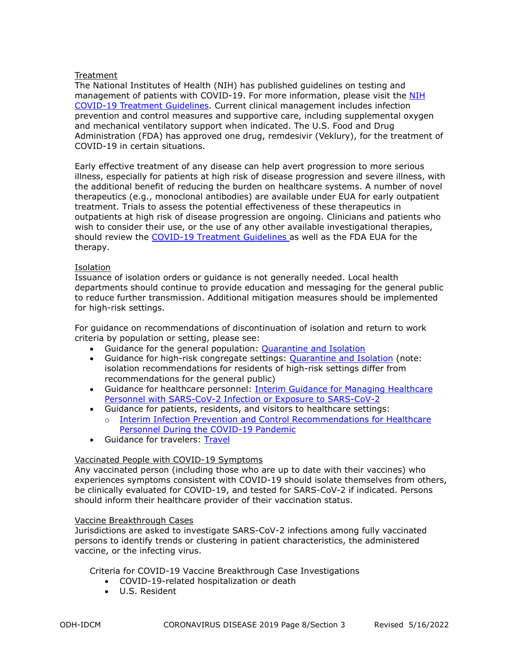# Treatment

The National Institutes of Health (NIH) has published guidelines on testing and management of patients with COVID-19. For more information, please visit the [NIH](https://www.covid19treatmentguidelines.nih.gov/)  [COVID-19 Treatment Guidelines.](https://www.covid19treatmentguidelines.nih.gov/) Current clinical management includes infection prevention and control measures and supportive care, including supplemental oxygen and mechanical ventilatory support when indicated. The U.S. Food and Drug Administration (FDA) has approved one drug, remdesivir (Veklury), for the treatment of COVID-19 in certain situations.

Early effective treatment of any disease can help avert progression to more serious illness, especially for patients at high risk of disease progression and severe illness, with the additional benefit of reducing the burden on healthcare systems. A number of novel therapeutics (e.g., monoclonal antibodies) are available under EUA for early outpatient treatment. Trials to assess the potential effectiveness of these therapeutics in outpatients at high risk of disease progression are ongoing. Clinicians and patients who wish to consider their use, or the use of any other available investigational therapies, should review the [COVID-19 Treatment Guidelines](https://www.covid19treatmentguidelines.nih.gov/management/clinical-management/) as well as the FDA EUA for the therapy.

#### Isolation

Issuance of isolation orders or guidance is not generally needed. Local health departments should continue to provide education and messaging for the general public to reduce further transmission. Additional mitigation measures should be implemented for high-risk settings.

For guidance on recommendations of discontinuation of isolation and return to work criteria by population or setting, please see:

- Guidance for the general population: [Quarantine and Isolation](https://www.cdc.gov/coronavirus/2019-ncov/your-health/quarantine-isolation.html)
- Guidance for high-risk congregate settings: [Quarantine and Isolation](https://www.cdc.gov/coronavirus/2019-ncov/your-health/quarantine-isolation.html) (note: isolation recommendations for residents of high-risk settings differ from recommendations for the general public)
- Guidance for healthcare personnel: [Interim Guidance for Managing Healthcare](https://www.cdc.gov/coronavirus/2019-ncov/hcp/guidance-risk-assesment-hcp.html?CDC_AA_refVal=https%3A%2F%2Fwww.cdc.gov%2Fcoronavirus%2F2019-ncov%2Fhcp%2Freturn-to-work.html)  [Personnel with SARS-CoV-2 Infection or Exposure to SARS-CoV-2](https://www.cdc.gov/coronavirus/2019-ncov/hcp/guidance-risk-assesment-hcp.html?CDC_AA_refVal=https%3A%2F%2Fwww.cdc.gov%2Fcoronavirus%2F2019-ncov%2Fhcp%2Freturn-to-work.html)
- Guidance for patients, residents, and visitors to healthcare settings:
	- Interim Infection Prevention and Control Recommendations for Healthcare [Personnel During the COVID-19 Pandemic](https://www.cdc.gov/coronavirus/2019-ncov/hcp/infection-control-recommendations.html)
- Guidance for travelers: [Travel](https://www.cdc.gov/coronavirus/2019-ncov/travelers/index.html)

# Vaccinated People with COVID-19 Symptoms

Any vaccinated person (including those who are up to date with their vaccines) who experiences symptoms consistent with COVID-19 should isolate themselves from others, be clinically evaluated for COVID-19, and tested for SARS-CoV-2 if indicated. Persons should inform their healthcare provider of their vaccination status.

#### Vaccine Breakthrough Cases

Jurisdictions are asked to investigate SARS-CoV-2 infections among fully vaccinated persons to identify trends or clustering in patient characteristics, the administered vaccine, or the infecting virus.

Criteria for COVID-19 Vaccine Breakthrough Case Investigations

- COVID-19-related hospitalization or death
- U.S. Resident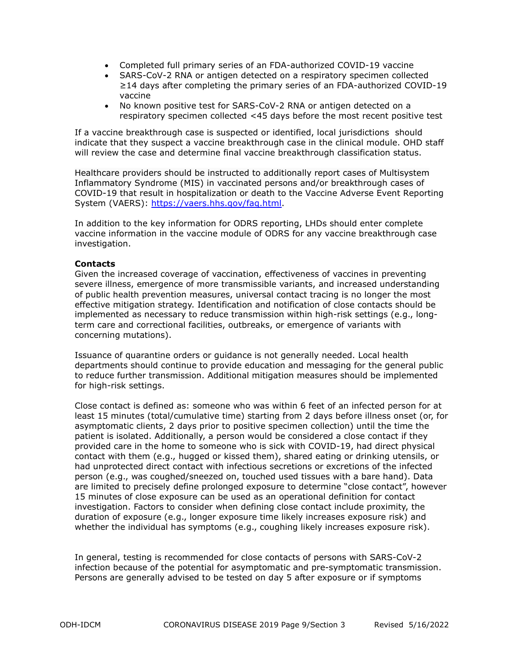- Completed full primary series of an FDA-authorized COVID-19 vaccine
- SARS-CoV-2 RNA or antigen detected on a respiratory specimen collected ≥14 days after completing the primary series of an FDA-authorized COVID-19 vaccine
- No known positive test for SARS-CoV-2 RNA or antigen detected on a respiratory specimen collected <45 days before the most recent positive test

If a vaccine breakthrough case is suspected or identified, local jurisdictions should indicate that they suspect a vaccine breakthrough case in the clinical module. OHD staff will review the case and determine final vaccine breakthrough classification status.

Healthcare providers should be instructed to additionally report cases of Multisystem Inflammatory Syndrome (MIS) in vaccinated persons and/or breakthrough cases of COVID-19 that result in hospitalization or death to the Vaccine Adverse Event Reporting System (VAERS): https://vaers.hhs.gov/fag.html.

In addition to the key information for ODRS reporting, LHDs should enter complete vaccine information in the vaccine module of ODRS for any vaccine breakthrough case investigation.

#### **Contacts**

Given the increased coverage of vaccination, effectiveness of vaccines in preventing severe illness, emergence of more transmissible variants, and increased understanding of public health prevention measures, universal contact tracing is no longer the most effective mitigation strategy. Identification and notification of close contacts should be implemented as necessary to reduce transmission within high-risk settings (e.g., longterm care and correctional facilities, outbreaks, or emergence of variants with concerning mutations).

Issuance of quarantine orders or guidance is not generally needed. Local health departments should continue to provide education and messaging for the general public to reduce further transmission. Additional mitigation measures should be implemented for high-risk settings.

Close contact is defined as: someone who was within 6 feet of an infected person for at least 15 minutes (total/cumulative time) starting from 2 days before illness onset (or, for asymptomatic clients, 2 days prior to positive specimen collection) until the time the patient is isolated. Additionally, a person would be considered a close contact if they provided care in the home to someone who is sick with COVID-19, had direct physical contact with them (e.g., hugged or kissed them), shared eating or drinking utensils, or had unprotected direct contact with infectious secretions or excretions of the infected person (e.g., was coughed/sneezed on, touched used tissues with a bare hand). Data are limited to precisely define prolonged exposure to determine "close contact", however 15 minutes of close exposure can be used as an operational definition for contact investigation. Factors to consider when defining close contact include proximity, the duration of exposure (e.g., longer exposure time likely increases exposure risk) and whether the individual has symptoms (e.g., coughing likely increases exposure risk).

In general, testing is recommended for close contacts of persons with SARS-CoV-2 infection because of the potential for asymptomatic and pre-symptomatic transmission. Persons are generally advised to be tested on day 5 after exposure or if symptoms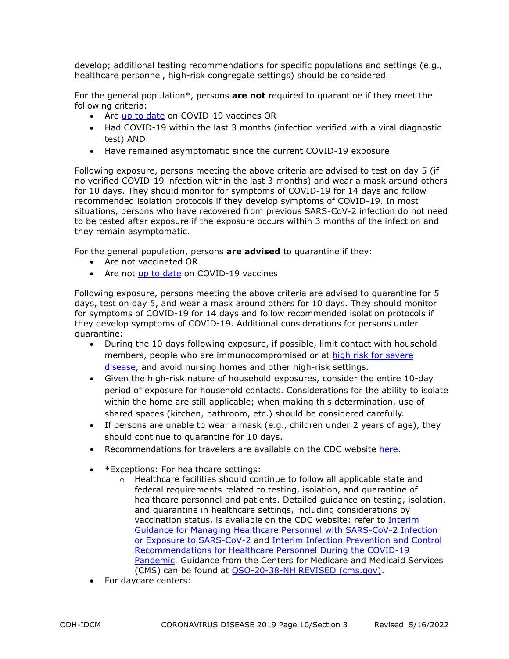develop; additional testing recommendations for specific populations and settings (e.g., healthcare personnel, high-risk congregate settings) should be considered.

For the general population\*, persons **are not** required to quarantine if they meet the following criteria:

- Are [up to date](https://www.cdc.gov/coronavirus/2019-ncov/vaccines/stay-up-to-date.html) on COVID-19 vaccines OR
- Had COVID-19 within the last 3 months (infection verified with a viral diagnostic test) AND
- Have remained asymptomatic since the current COVID-19 exposure

Following exposure, persons meeting the above criteria are advised to test on day 5 (if no verified COVID-19 infection within the last 3 months) and wear a mask around others for 10 days. They should monitor for symptoms of COVID-19 for 14 days and follow recommended isolation protocols if they develop symptoms of COVID-19. In most situations, persons who have recovered from previous SARS-CoV-2 infection do not need to be tested after exposure if the exposure occurs within 3 months of the infection and they remain asymptomatic.

For the general population, persons **are advised** to quarantine if they:

- Are not vaccinated OR
- Are not [up to date](https://www.cdc.gov/coronavirus/2019-ncov/vaccines/stay-up-to-date.html) on COVID-19 vaccines

Following exposure, persons meeting the above criteria are advised to quarantine for 5 days, test on day 5, and wear a mask around others for 10 days. They should monitor for symptoms of COVID-19 for 14 days and follow recommended isolation protocols if they develop symptoms of COVID-19. Additional considerations for persons under quarantine:

- During the 10 days following exposure, if possible, limit contact with household members, people who are immunocompromised or at high risk for severe [disease,](https://www.cdc.gov/coronavirus/2019-ncov/need-extra-precautions/index.html) and avoid nursing homes and other high-risk settings.
- Given the high-risk nature of household exposures, consider the entire 10-day period of exposure for household contacts. Considerations for the ability to isolate within the home are still applicable; when making this determination, use of shared spaces (kitchen, bathroom, etc.) should be considered carefully.
- If persons are unable to wear a mask (e.g., children under 2 years of age), they should continue to quarantine for 10 days.
- Recommendations for travelers are available on the CDC website [here.](https://www.cdc.gov/coronavirus/2019-ncov/travelers/index.html)
- \*Exceptions: For healthcare settings:
	- $\circ$  Healthcare facilities should continue to follow all applicable state and federal requirements related to testing, isolation, and quarantine of healthcare personnel and patients. Detailed guidance on testing, isolation, and quarantine in healthcare settings, including considerations by vaccination status, is available on the CDC website: refer to [Interim](https://www.cdc.gov/coronavirus/2019-ncov/hcp/guidance-risk-assesment-hcp.html)  [Guidance for Managing Healthcare Personnel with SARS-CoV-2 Infection](https://www.cdc.gov/coronavirus/2019-ncov/hcp/guidance-risk-assesment-hcp.html)  [or Exposure to SARS-CoV-2](https://www.cdc.gov/coronavirus/2019-ncov/hcp/guidance-risk-assesment-hcp.html) and [Interim Infection Prevention and Control](https://www.cdc.gov/coronavirus/2019-ncov/hcp/infection-control-after-vaccination.html)  [Recommendations for Healthcare Personnel During the COVID-19](https://www.cdc.gov/coronavirus/2019-ncov/hcp/infection-control-after-vaccination.html)  [Pandemic.](https://www.cdc.gov/coronavirus/2019-ncov/hcp/infection-control-after-vaccination.html) Guidance from the Centers for Medicare and Medicaid Services (CMS) can be found at [QSO-20-38-NH REVISED \(cms.gov\).](https://www.cms.gov/files/document/qso-20-38-nh-revised.pdf)
- For daycare centers: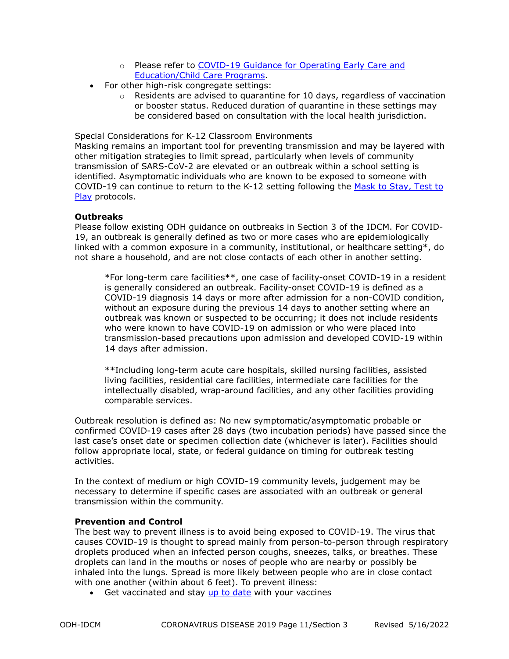- o Please refer to [COVID-19 Guidance for Operating Early Care and](https://www.cdc.gov/coronavirus/2019-ncov/community/schools-childcare/child-care-guidance.html#contact-tracing)  [Education/Child Care Programs.](https://www.cdc.gov/coronavirus/2019-ncov/community/schools-childcare/child-care-guidance.html#contact-tracing)
- For other high-risk congregate settings:
	- $\circ$  Residents are advised to quarantine for 10 days, regardless of vaccination or booster status. Reduced duration of quarantine in these settings may be considered based on consultation with the local health jurisdiction.

#### Special Considerations for K-12 Classroom Environments

Masking remains an important tool for preventing transmission and may be layered with other mitigation strategies to limit spread, particularly when levels of community transmission of SARS-CoV-2 are elevated or an outbreak within a school setting is identified. Asymptomatic individuals who are known to be exposed to someone with COVID-19 can continue to return to the K-12 setting following the [Mask to Stay, Test to](https://coronavirus.ohio.gov/static/responsible/schools/k-12-schools-quarantine-alternative.pdf)  [Play](https://coronavirus.ohio.gov/static/responsible/schools/k-12-schools-quarantine-alternative.pdf) protocols.

# **Outbreaks**

Please follow existing ODH guidance on outbreaks in Section 3 of the IDCM. For COVID-19, an outbreak is generally defined as two or more cases who are epidemiologically linked with a common exposure in a community, institutional, or healthcare setting\*, do not share a household, and are not close contacts of each other in another setting.

\*For long-term care facilities\*\*, one case of facility-onset COVID-19 in a resident is generally considered an outbreak. Facility-onset COVID-19 is defined as a COVID-19 diagnosis 14 days or more after admission for a non-COVID condition, without an exposure during the previous 14 days to another setting where an outbreak was known or suspected to be occurring; it does not include residents who were known to have COVID-19 on admission or who were placed into transmission-based precautions upon admission and developed COVID-19 within 14 days after admission.

\*\*Including long-term acute care hospitals, skilled nursing facilities, assisted living facilities, residential care facilities, intermediate care facilities for the intellectually disabled, wrap-around facilities, and any other facilities providing comparable services.

Outbreak resolution is defined as: No new symptomatic/asymptomatic probable or confirmed COVID-19 cases after 28 days (two incubation periods) have passed since the last case's onset date or specimen collection date (whichever is later). Facilities should follow appropriate local, state, or federal guidance on timing for outbreak testing activities.

In the context of medium or high COVID-19 community levels, judgement may be necessary to determine if specific cases are associated with an outbreak or general transmission within the community.

# **Prevention and Control**

The best way to prevent illness is to avoid being exposed to COVID-19. The virus that causes COVID-19 is thought to spread mainly from person-to-person through respiratory droplets produced when an infected person coughs, sneezes, talks, or breathes. These droplets can land in the mouths or noses of people who are nearby or possibly be inhaled into the lungs. Spread is more likely between people who are in close contact with one another (within about 6 feet). To prevent illness:

• Get vaccinated and stay [up to date](https://www.cdc.gov/coronavirus/2019-ncov/vaccines/stay-up-to-date.html) with your vaccines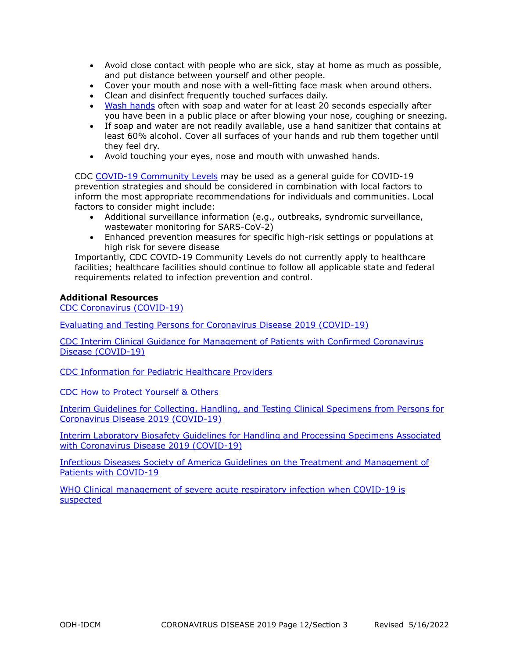- Avoid close contact with people who are sick, stay at home as much as possible, and put distance between yourself and other people.
- Cover your mouth and nose with a well-fitting face mask when around others.
- Clean and disinfect frequently touched surfaces daily.
- [Wash hands](https://www.cdc.gov/handwashing/when-how-handwashing.html) often with soap and water for at least 20 seconds especially after you have been in a public place or after blowing your nose, coughing or sneezing.
- If soap and water are not readily available, use a hand sanitizer that contains at least 60% alcohol. Cover all surfaces of your hands and rub them together until they feel dry.
- Avoid touching your eyes, nose and mouth with unwashed hands.

CDC [COVID-19 Community Levels](https://www.cdc.gov/coronavirus/2019-ncov/science/community-levels.html) may be used as a general guide for COVID-19 prevention strategies and should be considered in combination with local factors to inform the most appropriate recommendations for individuals and communities. Local factors to consider might include:

- Additional surveillance information (e.g., outbreaks, syndromic surveillance, wastewater monitoring for SARS-CoV-2)
- Enhanced prevention measures for specific high-risk settings or populations at high risk for severe disease

Importantly, CDC COVID-19 Community Levels do not currently apply to healthcare facilities; healthcare facilities should continue to follow all applicable state and federal requirements related to infection prevention and control.

# **Additional Resources**

[CDC Coronavirus \(COVID-19\)](https://www.cdc.gov/coronavirus/2019-ncov/index.html)

[Evaluating and Testing Persons for Coronavirus Disease 2019 \(COVID-19\)](https://www.cdc.gov/coronavirus/2019-ncov/hcp/clinical-criteria.html?CDC_AA_refVal=https%3A%2F%2Fwww.cdc.gov%2Fcoronavirus%2F2019-ncov%2Fclinical-criteria.html)

[CDC Interim Clinical Guidance for Management of Patients with Confirmed Coronavirus](https://www.cdc.gov/coronavirus/2019-ncov/hcp/clinical-guidance-management-patients.html)  [Disease \(COVID-19\)](https://www.cdc.gov/coronavirus/2019-ncov/hcp/clinical-guidance-management-patients.html)

[CDC Information for Pediatric Healthcare Providers](https://www.cdc.gov/coronavirus/2019-ncov/hcp/pediatric-hcp.html)

[CDC How to Protect Yourself & Others](https://www.cdc.gov/coronavirus/2019-ncov/prevent-getting-sick/prevention.html)

[Interim Guidelines for Collecting, Handling, and Testing Clinical Specimens from Persons for](https://www.cdc.gov/coronavirus/2019-ncov/lab/guidelines-clinical-specimens.html?CDC_AA_refVal=https%3A%2F%2Fwww.cdc.gov%2Fcoronavirus%2F2019-ncov%2Fguidelines-clinical-specimens.html)  [Coronavirus Disease 2019 \(COVID-19\)](https://www.cdc.gov/coronavirus/2019-ncov/lab/guidelines-clinical-specimens.html?CDC_AA_refVal=https%3A%2F%2Fwww.cdc.gov%2Fcoronavirus%2F2019-ncov%2Fguidelines-clinical-specimens.html)

[Interim Laboratory Biosafety Guidelines for Handling and Processing Specimens Associated](https://www.cdc.gov/coronavirus/2019-ncov/lab/lab-biosafety-guidelines.html?CDC_AA_refVal=https%3A%2F%2Fwww.cdc.gov%2Fcoronavirus%2F2019-ncov%2Flab-biosafety-guidelines.html)  [with Coronavirus Disease 2019 \(COVID-19\)](https://www.cdc.gov/coronavirus/2019-ncov/lab/lab-biosafety-guidelines.html?CDC_AA_refVal=https%3A%2F%2Fwww.cdc.gov%2Fcoronavirus%2F2019-ncov%2Flab-biosafety-guidelines.html)

[Infectious Diseases Society of America Guidelines on the Treatment and Management of](https://www.idsociety.org/practice-guideline/covid-19-guideline-treatment-and-management/)  [Patients with COVID-19](https://www.idsociety.org/practice-guideline/covid-19-guideline-treatment-and-management/)

[WHO Clinical management of severe acute respiratory infection when COVID-19 is](https://www.who.int/publications-detail/clinical-management-of-severe-acute-respiratory-infection-when-novel-coronavirus-(ncov)-infection-is-suspected)  [suspected](https://www.who.int/publications-detail/clinical-management-of-severe-acute-respiratory-infection-when-novel-coronavirus-(ncov)-infection-is-suspected)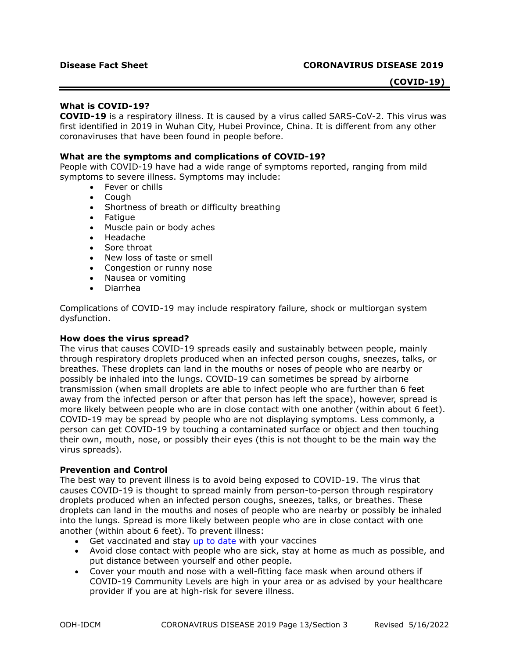# **(COVID-19)**

#### **What is COVID-19?**

**COVID-19** is a respiratory illness. It is caused by a virus called SARS-CoV-2. This virus was first identified in 2019 in Wuhan City, Hubei Province, China. It is different from any other coronaviruses that have been found in people before.

#### **What are the symptoms and complications of COVID-19?**

People with COVID-19 have had a wide range of symptoms reported, ranging from mild symptoms to severe illness. Symptoms may include:

- Fever or chills
- Cough
- Shortness of breath or difficulty breathing
- Fatigue
- Muscle pain or body aches
- Headache
- Sore throat
- New loss of taste or smell
- Congestion or runny nose
- Nausea or vomiting
- Diarrhea

Complications of COVID-19 may include respiratory failure, shock or multiorgan system dysfunction.

#### **How does the virus spread?**

The virus that causes COVID-19 spreads easily and sustainably between people, mainly through respiratory droplets produced when an infected person coughs, sneezes, talks, or breathes. These droplets can land in the mouths or noses of people who are nearby or possibly be inhaled into the lungs. COVID-19 can sometimes be spread by airborne transmission (when small droplets are able to infect people who are further than 6 feet away from the infected person or after that person has left the space), however, spread is more likely between people who are in close contact with one another (within about 6 feet). COVID-19 may be spread by people who are not displaying symptoms. Less commonly, a person can get COVID-19 by touching a contaminated surface or object and then touching their own, mouth, nose, or possibly their eyes (this is not thought to be the main way the virus spreads).

#### **Prevention and Control**

The best way to prevent illness is to avoid being exposed to COVID-19. The virus that causes COVID-19 is thought to spread mainly from person-to-person through respiratory droplets produced when an infected person coughs, sneezes, talks, or breathes. These droplets can land in the mouths and noses of people who are nearby or possibly be inhaled into the lungs. Spread is more likely between people who are in close contact with one another (within about 6 feet). To prevent illness:

- Get vaccinated and stay up to date with your vaccines
- Avoid close contact with people who are sick, stay at home as much as possible, and put distance between yourself and other people.
- Cover your mouth and nose with a well-fitting face mask when around others if COVID-19 Community Levels are high in your area or as advised by your healthcare provider if you are at high-risk for severe illness.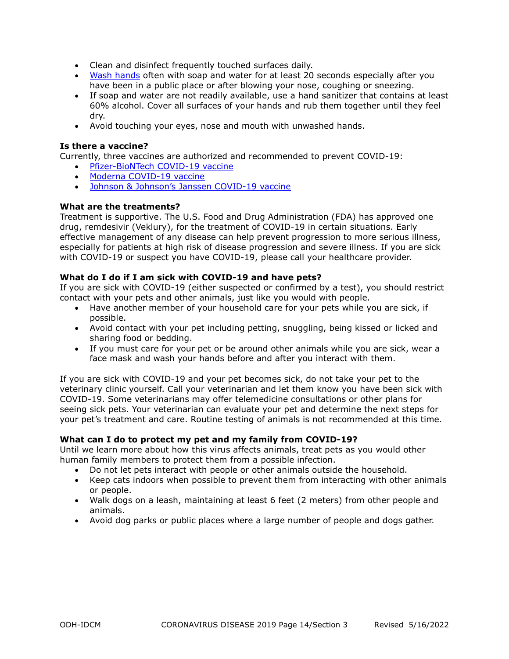- Clean and disinfect frequently touched surfaces daily.
- Wash hands often with soap and water for at least 20 seconds especially after you have been in a public place or after blowing your nose, coughing or sneezing.
- If soap and water are not readily available, use a hand sanitizer that contains at least 60% alcohol. Cover all surfaces of your hands and rub them together until they feel dry.
- Avoid touching your eyes, nose and mouth with unwashed hands.

# **Is there a vaccine?**

Currently, three vaccines are authorized and recommended to prevent COVID-19:

- Pfizer-BioNTech COVID-19 vaccine
- Moderna COVID-19 vaccine
- Johnson & Johnson's Janssen COVID-19 vaccine

# **What are the treatments?**

Treatment is supportive. The U.S. Food and Drug Administration (FDA) has approved one drug, remdesivir (Veklury), for the treatment of COVID-19 in certain situations. Early effective management of any disease can help prevent progression to more serious illness, especially for patients at high risk of disease progression and severe illness. If you are sick with COVID-19 or suspect you have COVID-19, please call your healthcare provider.

# **What do I do if I am sick with COVID-19 and have pets?**

If you are sick with COVID-19 (either suspected or confirmed by a test), you should restrict contact with your pets and other animals, just like you would with people.

- Have another member of your household care for your pets while you are sick, if possible.
- Avoid contact with your pet including petting, snuggling, being kissed or licked and sharing food or bedding.
- If you must care for your pet or be around other animals while you are sick, wear a face mask and wash your hands before and after you interact with them.

If you are sick with COVID-19 and your pet becomes sick, do not take your pet to the veterinary clinic yourself. Call your veterinarian and let them know you have been sick with COVID-19. Some veterinarians may offer telemedicine consultations or other plans for seeing sick pets. Your veterinarian can evaluate your pet and determine the next steps for your pet's treatment and care. Routine testing of animals is not recommended at this time.

# **What can I do to protect my pet and my family from COVID-19?**

Until we learn more about how this virus affects animals, treat pets as you would other human family members to protect them from a possible infection.

- Do not let pets interact with people or other animals outside the household.
- Keep cats indoors when possible to prevent them from interacting with other animals or people.
- Walk dogs on a leash, maintaining at least 6 feet (2 meters) from other people and animals.
- Avoid dog parks or public places where a large number of people and dogs gather.